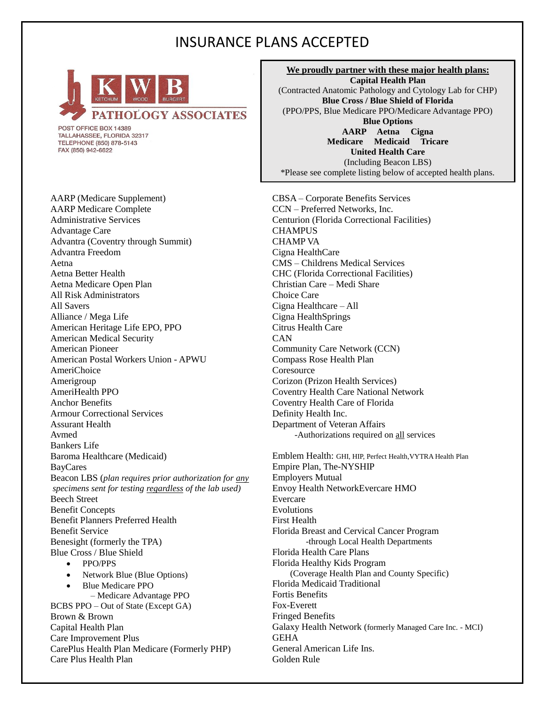## INSURANCE PLANS ACCEPTED



POST OFFICE BOX 14389 TALLAHASSEE, FLORIDA 32317 TELEPHONE (850) 878-5143 FAX (850) 942-6622

AARP (Medicare Supplement) AARP Medicare Complete Administrative Services Advantage Care Advantra (Coventry through Summit) Advantra Freedom Aetna Aetna Better Health Aetna Medicare Open Plan All Risk Administrators All Savers Alliance / Mega Life American Heritage Life EPO, PPO American Medical Security American Pioneer American Postal Workers Union - APWU AmeriChoice Amerigroup AmeriHealth PPO Anchor Benefits Armour Correctional Services Assurant Health Avmed Bankers Life Baroma Healthcare (Medicaid) BayCares Beacon LBS (*plan requires prior authorization for any specimens sent for testing regardless of the lab used)* Beech Street Benefit Concepts Benefit Planners Preferred Health Benefit Service Benesight (formerly the TPA) Blue Cross / Blue Shield • PPO/PPS • Network Blue (Blue Options) • Blue Medicare PPO – Medicare Advantage PPO

BCBS PPO – Out of State (Except GA) Brown & Brown Capital Health Plan Care Improvement Plus CarePlus Health Plan Medicare (Formerly PHP) Care Plus Health Plan

**We proudly partner with these major health plans: Capital Health Plan** (Contracted Anatomic Pathology and Cytology Lab for CHP) **Blue Cross / Blue Shield of Florida** (PPO/PPS, Blue Medicare PPO/Medicare Advantage PPO) **Blue Options AARP Aetna Cigna Medicare Medicaid Tricare United Health Care** (Including Beacon LBS) \*Please see complete listing below of accepted health plans.

CBSA – Corporate Benefits Services CCN – Preferred Networks, Inc. Centurion (Florida Correctional Facilities) **CHAMPUS** CHAMP VA Cigna HealthCare CMS – Childrens Medical Services CHC (Florida Correctional Facilities) Christian Care – Medi Share Choice Care Cigna Healthcare – All Cigna HealthSprings Citrus Health Care **CAN** Community Care Network (CCN) Compass Rose Health Plan **Coresource** Corizon (Prizon Health Services) Coventry Health Care National Network Coventry Health Care of Florida Definity Health Inc. Department of Veteran Affairs -Authorizations required on all services

Emblem Health: GHI, HIP, Perfect Health,VYTRA Health Plan Empire Plan, The-NYSHIP Employers Mutual Envoy Health NetworkEvercare HMO Evercare Evolutions First Health Florida Breast and Cervical Cancer Program -through Local Health Departments Florida Health Care Plans Florida Healthy Kids Program (Coverage Health Plan and County Specific) Florida Medicaid Traditional Fortis Benefits Fox-Everett Fringed Benefits Galaxy Health Network (formerly Managed Care Inc. - MCI) **GEHA** General American Life Ins. Golden Rule